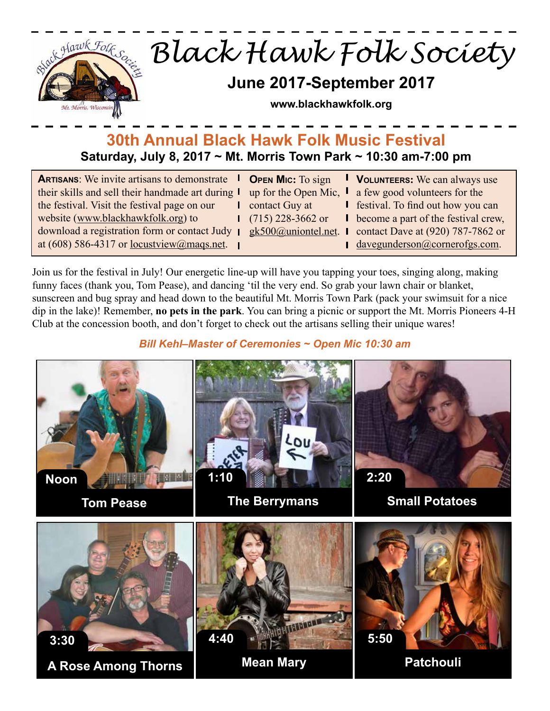

# **30th Annual Black Hawk Folk Music Festival Saturday, July 8, 2017 ~ Mt. Morris Town Park ~ 10:30 am-7:00 pm**

| <b>ARTISANS:</b> We invite artisans to demonstrate | <b>OPEN MIC:</b> To sign | <b>I</b> VOLUNTEERS: We can always use                         |
|----------------------------------------------------|--------------------------|----------------------------------------------------------------|
| their skills and sell their handmade art during I  |                          | up for the Open Mic, $\parallel$ a few good volunteers for the |
| the festival. Visit the festival page on our       | contact Guy at           | <b>I</b> festival. To find out how you can                     |
| website (www.blackhawkfolk.org) to                 | $(715)$ 228-3662 or      | <b>I</b> become a part of the festival crew,                   |
| download a registration form or contact Judy       | $gk500$ @uniontel.net.   | contact Dave at $(920)$ 787-7862 or                            |
| at (608) 586-4317 or <u>locustview@maqs.net</u> .  |                          | davegunderson@cornerofgs.com.                                  |

Join us for the festival in July! Our energetic line-up will have you tapping your toes, singing along, making funny faces (thank you, Tom Pease), and dancing 'til the very end. So grab your lawn chair or blanket, sunscreen and bug spray and head down to the beautiful Mt. Morris Town Park (pack your swimsuit for a nice dip in the lake)! Remember, **no pets in the park**. You can bring a picnic or support the Mt. Morris Pioneers 4-H Club at the concession booth, and don't forget to check out the artisans selling their unique wares!

*Bill Kehl–Master of Ceremonies ~ Open Mic 10:30 am*

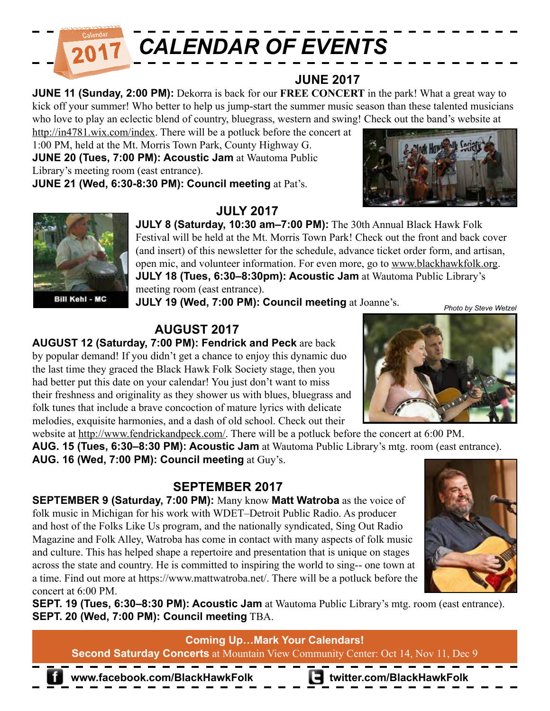

#### **JUNE 2017**

**JUNE 11 (Sunday, 2:00 PM):** Dekorra is back for our **FREE CONCERT** in the park! What a great way to kick off your summer! Who better to help us jump-start the summer music season than these talented musicians who love to play an eclectic blend of country, bluegrass, western and swing! Check out the band's website at

http://in4781.wix.com/index. There will be a potluck before the concert at 1:00 PM, held at the Mt. Morris Town Park, County Highway G. **JUNE 20 (Tues, 7:00 PM): Acoustic Jam** at Wautoma Public Library's meeting room (east entrance). **JUNE 21 (Wed, 6:30-8:30 PM): Council meeting** at Pat's.





## **JULY 2017**

**JULY 8 (Saturday, 10:30 am–7:00 PM):** The 30th Annual Black Hawk Folk Festival will be held at the Mt. Morris Town Park! Check out the front and back cover (and insert) of this newsletter for the schedule, advance ticket order form, and artisan, open mic, and volunteer information. For even more, go to www.blackhawkfolk.org. **JULY 18 (Tues, 6:30–8:30pm): Acoustic Jam** at Wautoma Public Library's meeting room (east entrance).

**JULY 19 (Wed, 7:00 PM): Council meeting** at Joanne's.

# **AUGUST 2017**

**AUGUST 12 (Saturday, 7:00 PM): Fendrick and Peck** are back by popular demand! If you didn't get a chance to enjoy this dynamic duo the last time they graced the Black Hawk Folk Society stage, then you had better put this date on your calendar! You just don't want to miss their freshness and originality as they shower us with blues, bluegrass and folk tunes that include a brave concoction of mature lyrics with delicate melodies, exquisite harmonies, and a dash of old school. Check out their

website at http://www.fendrickandpeck.com/. There will be a potluck before the concert at 6:00 PM. **AUG. 15 (Tues, 6:30–8:30 PM): Acoustic Jam** at Wautoma Public Library's mtg. room (east entrance). **AUG. 16 (Wed, 7:00 PM): Council meeting** at Guy's.

### **SEPTEMBER 2017**

**SEPTEMBER 9 (Saturday, 7:00 PM):** Many know **Matt Watroba** as the voice of folk music in Michigan for his work with WDET–Detroit Public Radio. As producer and host of the Folks Like Us program, and the nationally syndicated, Sing Out Radio Magazine and Folk Alley, Watroba has come in contact with many aspects of folk music and culture. This has helped shape a repertoire and presentation that is unique on stages across the state and country. He is committed to inspiring the world to sing-- one town at a time. Find out more at https://www.mattwatroba.net/. There will be a potluck before the concert at 6:00 PM.



*Photo by Steve Wetzel*

**SEPT. 19 (Tues, 6:30–8:30 PM): Acoustic Jam** at Wautoma Public Library's mtg. room (east entrance). **SEPT. 20 (Wed, 7:00 PM): Council meeting** TBA.

**Coming Up…Mark Your Calendars! Second Saturday Concerts** at Mountain View Community Center: Oct 14, Nov 11, Dec 9

**www.facebook.com/BlackHawkFolk twitter.com/BlackHawkFolk**

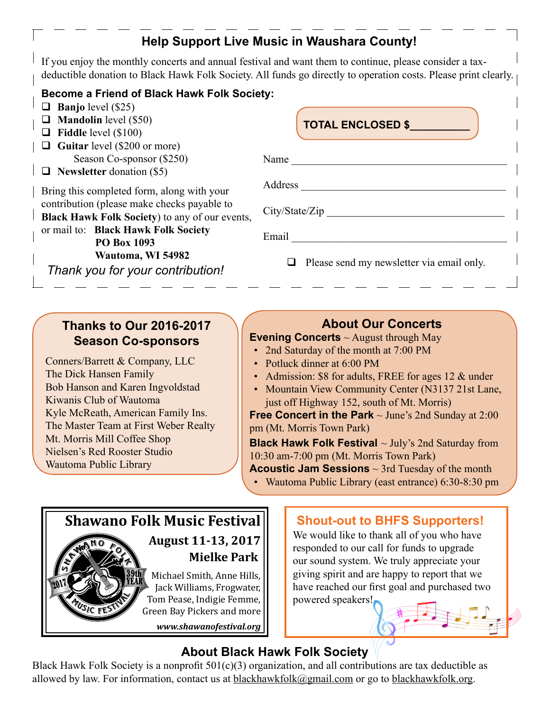# **Help Support Live Music in Waushara County!**

If you enjoy the monthly concerts and annual festival and want them to continue, please consider a taxdeductible donation to Black Hawk Folk Society. All funds go directly to operation costs. Please print clearly.

#### **Become a Friend of Black Hawk Folk Society:**

- **Banjo** level (\$25)
- **Mandolin** level (\$50)
- **Fiddle** level (\$100)
- **Guitar** level (\$200 or more) Season Co-sponsor (\$250)
- **Newsletter** donation (\$5)

Bring this completed form, along with your contribution (please make checks payable to **Black Hawk Folk Society**) to any of our events, or mail to: **Black Hawk Folk Society PO Box 1093**

 **Wautoma, WI 54982**

*Thank you for your contribution!*

**TOTAL ENCLOSED \$\_\_\_\_\_\_\_\_\_\_**

| Name<br><u> 1980 - Andrea Barbara, politik e</u> ta eta espainiar |
|-------------------------------------------------------------------|
| Address                                                           |
| City/State/Zip                                                    |
| Email <u>_______</u>                                              |

 $\Box$  Please send my newsletter via email only.

### **Thanks to Our 2016-2017 Season Co-sponsors**

Conners/Barrett & Company, LLC The Dick Hansen Family Bob Hanson and Karen Ingvoldstad Kiwanis Club of Wautoma Kyle McReath, American Family Ins. The Master Team at First Weber Realty Mt. Morris Mill Coffee Shop Nielsen's Red Rooster Studio Wautoma Public Library

## **About Our Concerts**

**Evening Concerts** ~ August through May

- 2nd Saturday of the month at 7:00 PM
- Potluck dinner at 6:00 PM
- Admission: \$8 for adults, FREE for ages 12 & under
- Mountain View Community Center (N3137 21st Lane, just off Highway 152, south of Mt. Morris)

**Free Concert in the Park** ~ June's 2nd Sunday at 2:00 pm (Mt. Morris Town Park)

**Black Hawk Folk Festival** ~ July's 2nd Saturday from 10:30 am-7:00 pm (Mt. Morris Town Park)

**Acoustic Jam Sessions** ~ 3rd Tuesday of the month

• Wautoma Public Library (east entrance) 6:30-8:30 pm



### **Shout-out to BHFS Supporters!**

We would like to thank all of you who have responded to our call for funds to upgrade our sound system. We truly appreciate your giving spirit and are happy to report that we have reached our first goal and purchased two powered speakers!

## **About Black Hawk Folk Society**

Black Hawk Folk Society is a nonprofit  $501(c)(3)$  organization, and all contributions are tax deductible as allowed by law. For information, contact us at blackhawkfolk@gmail.com or go to blackhawkfolk.org.